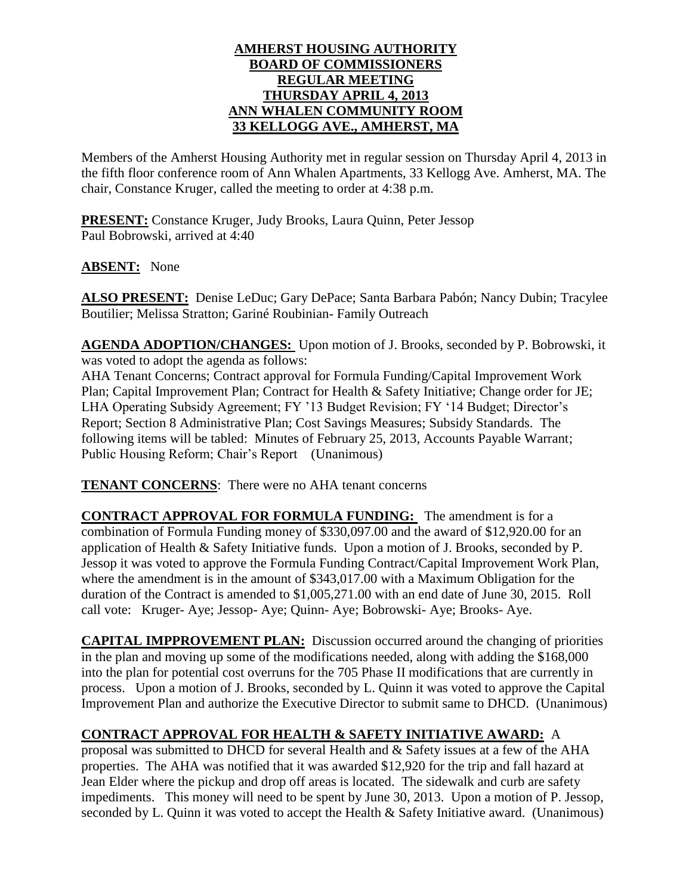#### **AMHERST HOUSING AUTHORITY BOARD OF COMMISSIONERS REGULAR MEETING THURSDAY APRIL 4, 2013 ANN WHALEN COMMUNITY ROOM 33 KELLOGG AVE., AMHERST, MA**

Members of the Amherst Housing Authority met in regular session on Thursday April 4, 2013 in the fifth floor conference room of Ann Whalen Apartments, 33 Kellogg Ave. Amherst, MA. The chair, Constance Kruger, called the meeting to order at 4:38 p.m.

**PRESENT:** Constance Kruger, Judy Brooks, Laura Quinn, Peter Jessop Paul Bobrowski, arrived at 4:40

**ABSENT:** None

**ALSO PRESENT:** Denise LeDuc; Gary DePace; Santa Barbara Pabón; Nancy Dubin; Tracylee Boutilier; Melissa Stratton; Gariné Roubinian- Family Outreach

**AGENDA ADOPTION/CHANGES:** Upon motion of J. Brooks, seconded by P. Bobrowski, it was voted to adopt the agenda as follows:

AHA Tenant Concerns; Contract approval for Formula Funding/Capital Improvement Work Plan; Capital Improvement Plan; Contract for Health & Safety Initiative; Change order for JE; LHA Operating Subsidy Agreement; FY '13 Budget Revision; FY '14 Budget; Director's Report; Section 8 Administrative Plan; Cost Savings Measures; Subsidy Standards. The following items will be tabled: Minutes of February 25, 2013, Accounts Payable Warrant; Public Housing Reform; Chair's Report (Unanimous)

**TENANT CONCERNS**: There were no AHA tenant concerns

**CONTRACT APPROVAL FOR FORMULA FUNDING:** The amendment is for a combination of Formula Funding money of \$330,097.00 and the award of \$12,920.00 for an application of Health & Safety Initiative funds. Upon a motion of J. Brooks, seconded by P. Jessop it was voted to approve the Formula Funding Contract/Capital Improvement Work Plan, where the amendment is in the amount of \$343,017.00 with a Maximum Obligation for the duration of the Contract is amended to \$1,005,271.00 with an end date of June 30, 2015. Roll call vote: Kruger- Aye; Jessop- Aye; Quinn- Aye; Bobrowski- Aye; Brooks- Aye.

**CAPITAL IMPPROVEMENT PLAN:** Discussion occurred around the changing of priorities in the plan and moving up some of the modifications needed, along with adding the \$168,000 into the plan for potential cost overruns for the 705 Phase II modifications that are currently in process. Upon a motion of J. Brooks, seconded by L. Quinn it was voted to approve the Capital Improvement Plan and authorize the Executive Director to submit same to DHCD. (Unanimous)

### **CONTRACT APPROVAL FOR HEALTH & SAFETY INITIATIVE AWARD:** A

proposal was submitted to DHCD for several Health and & Safety issues at a few of the AHA properties. The AHA was notified that it was awarded \$12,920 for the trip and fall hazard at Jean Elder where the pickup and drop off areas is located. The sidewalk and curb are safety impediments. This money will need to be spent by June 30, 2013. Upon a motion of P. Jessop, seconded by L. Quinn it was voted to accept the Health & Safety Initiative award. (Unanimous)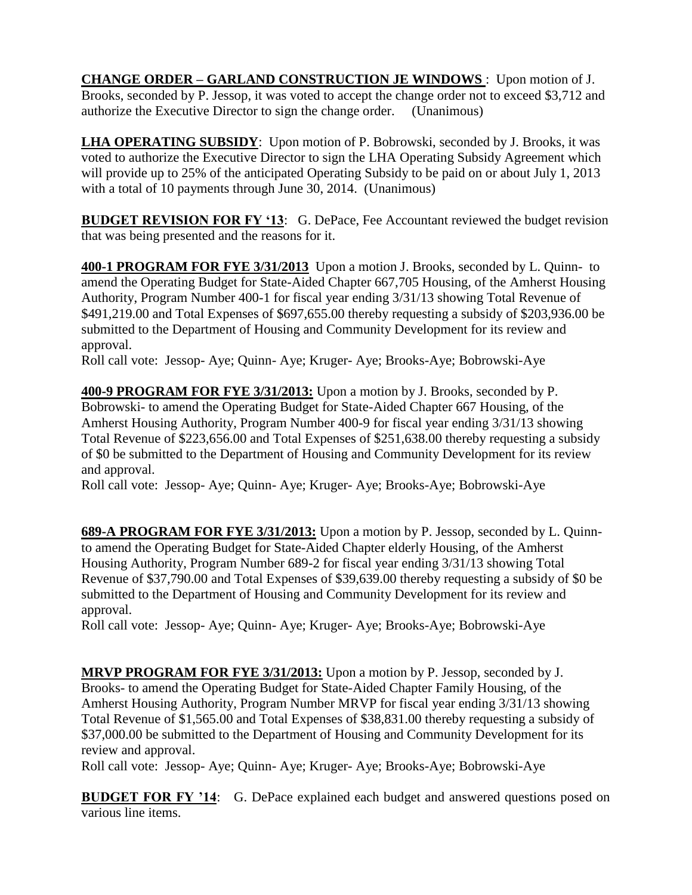**CHANGE ORDER – GARLAND CONSTRUCTION JE WINDOWS** : Upon motion of J. Brooks, seconded by P. Jessop, it was voted to accept the change order not to exceed \$3,712 and authorize the Executive Director to sign the change order. (Unanimous)

**LHA OPERATING SUBSIDY**: Upon motion of P. Bobrowski, seconded by J. Brooks, it was voted to authorize the Executive Director to sign the LHA Operating Subsidy Agreement which will provide up to 25% of the anticipated Operating Subsidy to be paid on or about July 1, 2013 with a total of 10 payments through June 30, 2014. (Unanimous)

**BUDGET REVISION FOR FY '13**: G. DePace, Fee Accountant reviewed the budget revision that was being presented and the reasons for it.

**400-1 PROGRAM FOR FYE 3/31/2013** Upon a motion J. Brooks, seconded by L. Quinn- to amend the Operating Budget for State-Aided Chapter 667,705 Housing, of the Amherst Housing Authority, Program Number 400-1 for fiscal year ending 3/31/13 showing Total Revenue of \$491,219.00 and Total Expenses of \$697,655.00 thereby requesting a subsidy of \$203,936.00 be submitted to the Department of Housing and Community Development for its review and approval.

Roll call vote: Jessop- Aye; Quinn- Aye; Kruger- Aye; Brooks-Aye; Bobrowski-Aye

**400-9 PROGRAM FOR FYE 3/31/2013:** Upon a motion by J. Brooks, seconded by P. Bobrowski- to amend the Operating Budget for State-Aided Chapter 667 Housing, of the Amherst Housing Authority, Program Number 400-9 for fiscal year ending 3/31/13 showing Total Revenue of \$223,656.00 and Total Expenses of \$251,638.00 thereby requesting a subsidy of \$0 be submitted to the Department of Housing and Community Development for its review and approval.

Roll call vote: Jessop- Aye; Quinn- Aye; Kruger- Aye; Brooks-Aye; Bobrowski-Aye

**689-A PROGRAM FOR FYE 3/31/2013:** Upon a motion by P. Jessop, seconded by L. Quinnto amend the Operating Budget for State-Aided Chapter elderly Housing, of the Amherst Housing Authority, Program Number 689-2 for fiscal year ending 3/31/13 showing Total Revenue of \$37,790.00 and Total Expenses of \$39,639.00 thereby requesting a subsidy of \$0 be submitted to the Department of Housing and Community Development for its review and approval.

Roll call vote: Jessop- Aye; Quinn- Aye; Kruger- Aye; Brooks-Aye; Bobrowski-Aye

**MRVP PROGRAM FOR FYE 3/31/2013:** Upon a motion by P. Jessop, seconded by J. Brooks- to amend the Operating Budget for State-Aided Chapter Family Housing, of the Amherst Housing Authority, Program Number MRVP for fiscal year ending 3/31/13 showing Total Revenue of \$1,565.00 and Total Expenses of \$38,831.00 thereby requesting a subsidy of \$37,000.00 be submitted to the Department of Housing and Community Development for its review and approval.

Roll call vote: Jessop- Aye; Quinn- Aye; Kruger- Aye; Brooks-Aye; Bobrowski-Aye

**BUDGET FOR FY '14:** G. DePace explained each budget and answered questions posed on various line items.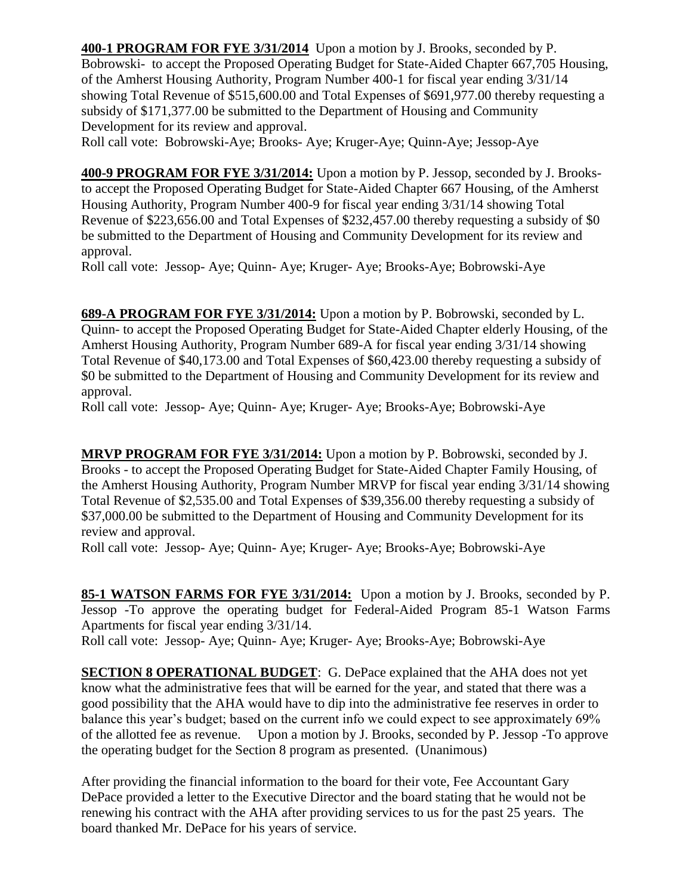**400-1 PROGRAM FOR FYE 3/31/2014** Upon a motion by J. Brooks, seconded by P. Bobrowski- to accept the Proposed Operating Budget for State-Aided Chapter 667,705 Housing, of the Amherst Housing Authority, Program Number 400-1 for fiscal year ending 3/31/14 showing Total Revenue of \$515,600.00 and Total Expenses of \$691,977.00 thereby requesting a subsidy of \$171,377.00 be submitted to the Department of Housing and Community Development for its review and approval.

Roll call vote: Bobrowski-Aye; Brooks- Aye; Kruger-Aye; Quinn-Aye; Jessop-Aye

**400-9 PROGRAM FOR FYE 3/31/2014:** Upon a motion by P. Jessop, seconded by J. Brooksto accept the Proposed Operating Budget for State-Aided Chapter 667 Housing, of the Amherst Housing Authority, Program Number 400-9 for fiscal year ending 3/31/14 showing Total Revenue of \$223,656.00 and Total Expenses of \$232,457.00 thereby requesting a subsidy of \$0 be submitted to the Department of Housing and Community Development for its review and approval.

Roll call vote: Jessop- Aye; Quinn- Aye; Kruger- Aye; Brooks-Aye; Bobrowski-Aye

**689-A PROGRAM FOR FYE 3/31/2014:** Upon a motion by P. Bobrowski, seconded by L. Quinn- to accept the Proposed Operating Budget for State-Aided Chapter elderly Housing, of the Amherst Housing Authority, Program Number 689-A for fiscal year ending 3/31/14 showing Total Revenue of \$40,173.00 and Total Expenses of \$60,423.00 thereby requesting a subsidy of \$0 be submitted to the Department of Housing and Community Development for its review and approval.

Roll call vote: Jessop- Aye; Quinn- Aye; Kruger- Aye; Brooks-Aye; Bobrowski-Aye

**MRVP PROGRAM FOR FYE 3/31/2014:** Upon a motion by P. Bobrowski, seconded by J. Brooks - to accept the Proposed Operating Budget for State-Aided Chapter Family Housing, of the Amherst Housing Authority, Program Number MRVP for fiscal year ending 3/31/14 showing Total Revenue of \$2,535.00 and Total Expenses of \$39,356.00 thereby requesting a subsidy of \$37,000.00 be submitted to the Department of Housing and Community Development for its review and approval.

Roll call vote: Jessop- Aye; Quinn- Aye; Kruger- Aye; Brooks-Aye; Bobrowski-Aye

**85-1 WATSON FARMS FOR FYE 3/31/2014:** Upon a motion by J. Brooks, seconded by P. Jessop -To approve the operating budget for Federal-Aided Program 85-1 Watson Farms Apartments for fiscal year ending 3/31/14.

Roll call vote: Jessop- Aye; Quinn- Aye; Kruger- Aye; Brooks-Aye; Bobrowski-Aye

**SECTION 8 OPERATIONAL BUDGET**: G. DePace explained that the AHA does not yet know what the administrative fees that will be earned for the year, and stated that there was a good possibility that the AHA would have to dip into the administrative fee reserves in order to balance this year's budget; based on the current info we could expect to see approximately 69% of the allotted fee as revenue. Upon a motion by J. Brooks, seconded by P. Jessop -To approve the operating budget for the Section 8 program as presented. (Unanimous)

After providing the financial information to the board for their vote, Fee Accountant Gary DePace provided a letter to the Executive Director and the board stating that he would not be renewing his contract with the AHA after providing services to us for the past 25 years. The board thanked Mr. DePace for his years of service.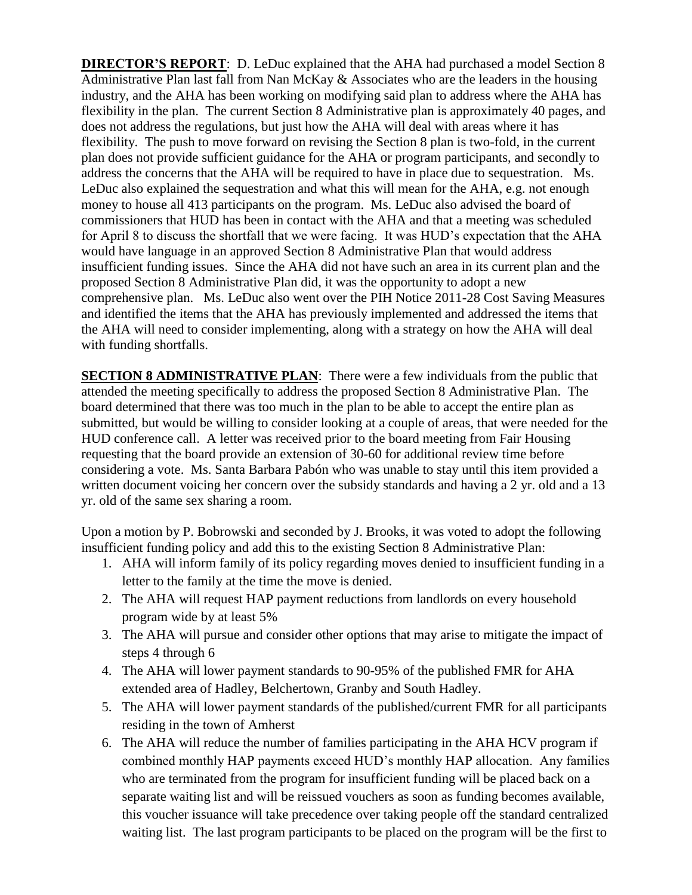**DIRECTOR'S REPORT**: D. LeDuc explained that the AHA had purchased a model Section 8 Administrative Plan last fall from Nan McKay & Associates who are the leaders in the housing industry, and the AHA has been working on modifying said plan to address where the AHA has flexibility in the plan. The current Section 8 Administrative plan is approximately 40 pages, and does not address the regulations, but just how the AHA will deal with areas where it has flexibility. The push to move forward on revising the Section 8 plan is two-fold, in the current plan does not provide sufficient guidance for the AHA or program participants, and secondly to address the concerns that the AHA will be required to have in place due to sequestration. Ms. LeDuc also explained the sequestration and what this will mean for the AHA, e.g. not enough money to house all 413 participants on the program. Ms. LeDuc also advised the board of commissioners that HUD has been in contact with the AHA and that a meeting was scheduled for April 8 to discuss the shortfall that we were facing. It was HUD's expectation that the AHA would have language in an approved Section 8 Administrative Plan that would address insufficient funding issues. Since the AHA did not have such an area in its current plan and the proposed Section 8 Administrative Plan did, it was the opportunity to adopt a new comprehensive plan. Ms. LeDuc also went over the PIH Notice 2011-28 Cost Saving Measures and identified the items that the AHA has previously implemented and addressed the items that the AHA will need to consider implementing, along with a strategy on how the AHA will deal with funding shortfalls.

**SECTION 8 ADMINISTRATIVE PLAN:** There were a few individuals from the public that attended the meeting specifically to address the proposed Section 8 Administrative Plan. The board determined that there was too much in the plan to be able to accept the entire plan as submitted, but would be willing to consider looking at a couple of areas, that were needed for the HUD conference call. A letter was received prior to the board meeting from Fair Housing requesting that the board provide an extension of 30-60 for additional review time before considering a vote. Ms. Santa Barbara Pabón who was unable to stay until this item provided a written document voicing her concern over the subsidy standards and having a 2 yr. old and a 13 yr. old of the same sex sharing a room.

Upon a motion by P. Bobrowski and seconded by J. Brooks, it was voted to adopt the following insufficient funding policy and add this to the existing Section 8 Administrative Plan:

- 1. AHA will inform family of its policy regarding moves denied to insufficient funding in a letter to the family at the time the move is denied.
- 2. The AHA will request HAP payment reductions from landlords on every household program wide by at least 5%
- 3. The AHA will pursue and consider other options that may arise to mitigate the impact of steps 4 through 6
- 4. The AHA will lower payment standards to 90-95% of the published FMR for AHA extended area of Hadley, Belchertown, Granby and South Hadley.
- 5. The AHA will lower payment standards of the published/current FMR for all participants residing in the town of Amherst
- 6. The AHA will reduce the number of families participating in the AHA HCV program if combined monthly HAP payments exceed HUD's monthly HAP allocation. Any families who are terminated from the program for insufficient funding will be placed back on a separate waiting list and will be reissued vouchers as soon as funding becomes available, this voucher issuance will take precedence over taking people off the standard centralized waiting list. The last program participants to be placed on the program will be the first to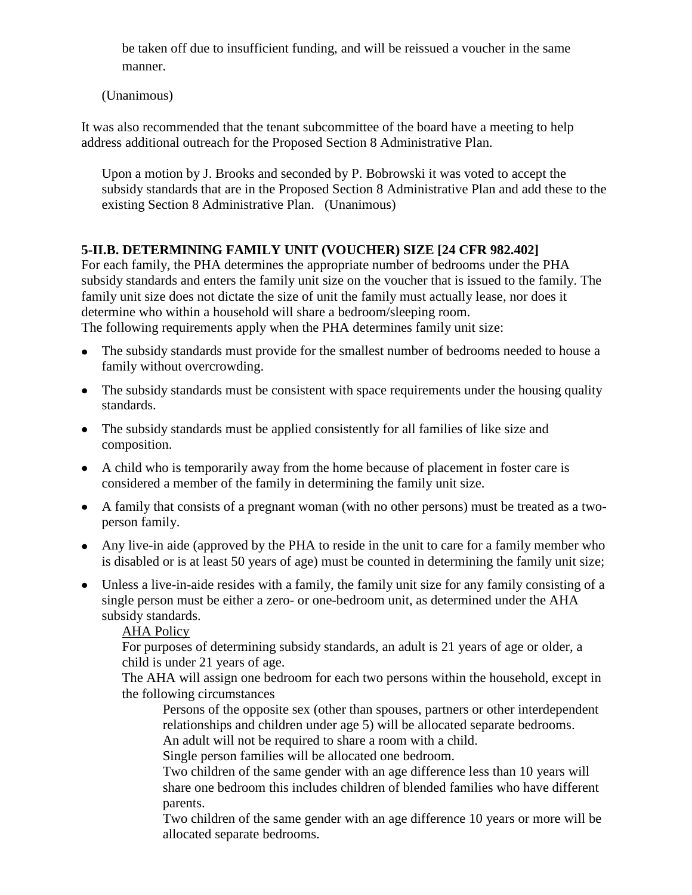be taken off due to insufficient funding, and will be reissued a voucher in the same manner.

(Unanimous)

It was also recommended that the tenant subcommittee of the board have a meeting to help address additional outreach for the Proposed Section 8 Administrative Plan.

Upon a motion by J. Brooks and seconded by P. Bobrowski it was voted to accept the subsidy standards that are in the Proposed Section 8 Administrative Plan and add these to the existing Section 8 Administrative Plan. (Unanimous)

## **5-II.B. DETERMINING FAMILY UNIT (VOUCHER) SIZE [24 CFR 982.402]**

For each family, the PHA determines the appropriate number of bedrooms under the PHA subsidy standards and enters the family unit size on the voucher that is issued to the family. The family unit size does not dictate the size of unit the family must actually lease, nor does it determine who within a household will share a bedroom/sleeping room.

The following requirements apply when the PHA determines family unit size:

- The subsidy standards must provide for the smallest number of bedrooms needed to house a family without overcrowding.
- The subsidy standards must be consistent with space requirements under the housing quality standards.
- The subsidy standards must be applied consistently for all families of like size and composition.
- A child who is temporarily away from the home because of placement in foster care is considered a member of the family in determining the family unit size.
- A family that consists of a pregnant woman (with no other persons) must be treated as a twoperson family.
- Any live-in aide (approved by the PHA to reside in the unit to care for a family member who is disabled or is at least 50 years of age) must be counted in determining the family unit size;
- Unless a live-in-aide resides with a family, the family unit size for any family consisting of a single person must be either a zero- or one-bedroom unit, as determined under the AHA subsidy standards.

AHA Policy

For purposes of determining subsidy standards, an adult is 21 years of age or older, a child is under 21 years of age.

The AHA will assign one bedroom for each two persons within the household, except in the following circumstances

Persons of the opposite sex (other than spouses, partners or other interdependent relationships and children under age 5) will be allocated separate bedrooms.

An adult will not be required to share a room with a child.

Single person families will be allocated one bedroom.

Two children of the same gender with an age difference less than 10 years will share one bedroom this includes children of blended families who have different parents.

Two children of the same gender with an age difference 10 years or more will be allocated separate bedrooms.